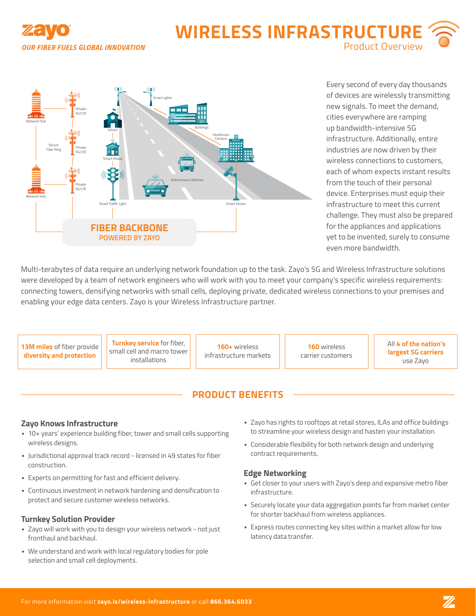

# **WIRELESS INFRASTRUCTU** Product Overview



Every second of every day thousands of devices are wirelessly transmitting new signals. To meet the demand, cities everywhere are ramping up bandwidth-intensive 5G infrastructure. Additionally, entire industries are now driven by their wireless connections to customers, each of whom expects instant results from the touch of their personal device. Enterprises must equip their infrastructure to meet this current challenge. They must also be prepared for the appliances and applications yet to be invented, surely to consume even more bandwidth.

Multi-terabytes of data require an underlying network foundation up to the task. Zayo's 5G and Wireless Infrastructure solutions were developed by a team of network engineers who will work with you to meet your company's specific wireless requirements: connecting towers, densifying networks with small cells, deploying private, dedicated wireless connections to your premises and enabling your edge data centers. Zayo is your Wireless Infrastructure partner.

**13M miles** of fiber provide **diversity and protection**

**Turnkey service** for fiber, small cell and macro tower installations

**160+** wireless infrastructure markets

**160** wireless carrier customers ●All **4 of the nation's largest 5G carriers** use Zayo

## **PRODUCT BENEFITS**

#### **Zayo Knows Infrastructure**

- 10+ years' experience building fiber, tower and small cells supporting wireless designs.
- Jurisdictional approval track record licensed in 49 states for fiber construction.
- Experts on permitting for fast and efficient delivery.
- Continuous investment in network hardening and densification to protect and secure customer wireless networks.

## **Turnkey Solution Provider**

- Zayo will work with you to design your wireless network not just fronthaul and backhaul.
- We understand and work with local regulatory bodies for pole selection and small cell deployments.
- Zayo has rights to rooftops at retail stores, ILAs and office buildings to streamline your wireless design and hasten your installation.
- Considerable flexibility for both network design and underlying contract requirements.

#### **Edge Networking**

- Get closer to your users with Zayo's deep and expansive metro fiber infrastructure.
- Securely locate your data aggregation points far from market center for shorter backhaul from wireless appliances.
- Express routes connecting key sites within a market allow for low latency data transfer.